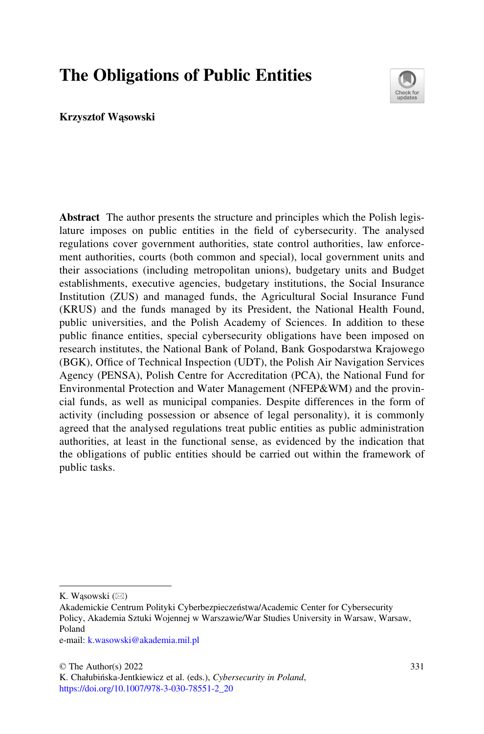# The Obligations of Public Entities



#### Krzysztof Wąsowski

Abstract The author presents the structure and principles which the Polish legislature imposes on public entities in the field of cybersecurity. The analysed regulations cover government authorities, state control authorities, law enforcement authorities, courts (both common and special), local government units and their associations (including metropolitan unions), budgetary units and Budget establishments, executive agencies, budgetary institutions, the Social Insurance Institution (ZUS) and managed funds, the Agricultural Social Insurance Fund (KRUS) and the funds managed by its President, the National Health Found, public universities, and the Polish Academy of Sciences. In addition to these public finance entities, special cybersecurity obligations have been imposed on research institutes, the National Bank of Poland, Bank Gospodarstwa Krajowego (BGK), Office of Technical Inspection (UDT), the Polish Air Navigation Services Agency (PENSA), Polish Centre for Accreditation (PCA), the National Fund for Environmental Protection and Water Management (NFEP&WM) and the provincial funds, as well as municipal companies. Despite differences in the form of activity (including possession or absence of legal personality), it is commonly agreed that the analysed regulations treat public entities as public administration authorities, at least in the functional sense, as evidenced by the indication that the obligations of public entities should be carried out within the framework of public tasks.

K. Wąsowski  $(\boxtimes)$ 

e-mail: [k.wasowski@akademia.mil.pl](mailto:k.wasowski@akademia.mil.pl)

Akademickie Centrum Polityki Cyberbezpieczeństwa/Academic Center for Cybersecurity Policy, Akademia Sztuki Wojennej w Warszawie/War Studies University in Warsaw, Warsaw, Poland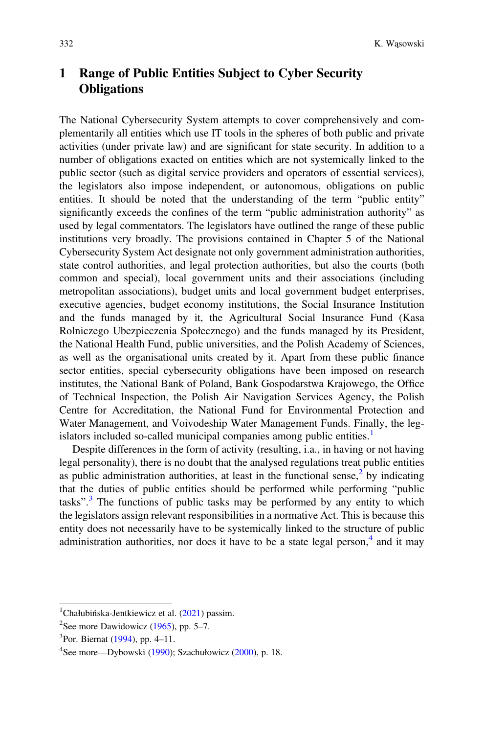# 1 Range of Public Entities Subject to Cyber Security **Obligations**

The National Cybersecurity System attempts to cover comprehensively and complementarily all entities which use IT tools in the spheres of both public and private activities (under private law) and are significant for state security. In addition to a number of obligations exacted on entities which are not systemically linked to the public sector (such as digital service providers and operators of essential services), the legislators also impose independent, or autonomous, obligations on public entities. It should be noted that the understanding of the term "public entity" significantly exceeds the confines of the term "public administration authority" as used by legal commentators. The legislators have outlined the range of these public institutions very broadly. The provisions contained in Chapter 5 of the National Cybersecurity System Act designate not only government administration authorities, state control authorities, and legal protection authorities, but also the courts (both common and special), local government units and their associations (including metropolitan associations), budget units and local government budget enterprises, executive agencies, budget economy institutions, the Social Insurance Institution and the funds managed by it, the Agricultural Social Insurance Fund (Kasa Rolniczego Ubezpieczenia Społecznego) and the funds managed by its President, the National Health Fund, public universities, and the Polish Academy of Sciences, as well as the organisational units created by it. Apart from these public finance sector entities, special cybersecurity obligations have been imposed on research institutes, the National Bank of Poland, Bank Gospodarstwa Krajowego, the Office of Technical Inspection, the Polish Air Navigation Services Agency, the Polish Centre for Accreditation, the National Fund for Environmental Protection and Water Management, and Voivodeship Water Management Funds. Finally, the legislators included so-called municipal companies among public entities.<sup>1</sup>

Despite differences in the form of activity (resulting, i.a., in having or not having legal personality), there is no doubt that the analysed regulations treat public entities as public administration authorities, at least in the functional sense,<sup>2</sup> by indicating that the duties of public entities should be performed while performing "public tasks".<sup>3</sup> The functions of public tasks may be performed by any entity to which the legislators assign relevant responsibilities in a normative Act. This is because this entity does not necessarily have to be systemically linked to the structure of public administration authorities, nor does it have to be a state legal person, $4$  and it may

<sup>1</sup> Chałubińska-Jentkiewicz et al. ([2021\)](#page-13-0) passim.

<sup>&</sup>lt;sup>2</sup>See more Dawidowicz ([1965\)](#page-13-0), pp. 5–7.

<sup>3</sup> Por. Biernat [\(1994](#page-13-0)), pp. 4–11.

<sup>&</sup>lt;sup>4</sup>See more—Dybowski [\(1990](#page-13-0)); Szachułowicz [\(2000](#page-13-0)), p. 18.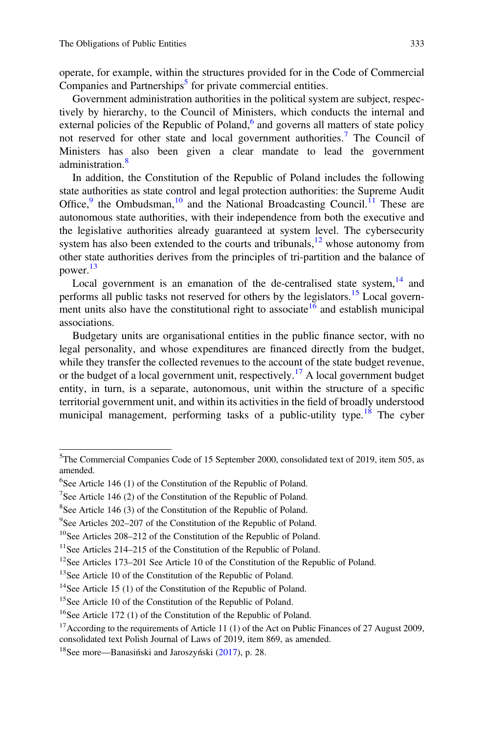operate, for example, within the structures provided for in the Code of Commercial Companies and Partnerships<sup>5</sup> for private commercial entities.

Government administration authorities in the political system are subject, respectively by hierarchy, to the Council of Ministers, which conducts the internal and external policies of the Republic of Poland, $6$  and governs all matters of state policy not reserved for other state and local government authorities.<sup>7</sup> The Council of Ministers has also been given a clear mandate to lead the government administration.<sup>8</sup>

In addition, the Constitution of the Republic of Poland includes the following state authorities as state control and legal protection authorities: the Supreme Audit Office,  $9$  the Ombudsman,  $10$  and the National Broadcasting Council.<sup>11</sup> These are autonomous state authorities, with their independence from both the executive and the legislative authorities already guaranteed at system level. The cybersecurity system has also been extended to the courts and tribunals,  $12$  whose autonomy from other state authorities derives from the principles of tri-partition and the balance of power.<sup>13</sup>

Local government is an emanation of the de-centralised state system, $14$  and performs all public tasks not reserved for others by the legislators.<sup>15</sup> Local government units also have the constitutional right to associate  $\frac{16}{6}$  and establish municipal associations.

Budgetary units are organisational entities in the public finance sector, with no legal personality, and whose expenditures are financed directly from the budget, while they transfer the collected revenues to the account of the state budget revenue, or the budget of a local government unit, respectively.<sup>17</sup> A local government budget entity, in turn, is a separate, autonomous, unit within the structure of a specific territorial government unit, and within its activities in the field of broadly understood municipal management, performing tasks of a public-utility type.<sup>18</sup> The cyber

<sup>&</sup>lt;sup>5</sup>The Commercial Companies Code of 15 September 2000, consolidated text of 2019, item 505, as amended.

<sup>&</sup>lt;sup>6</sup>See Article 146 (1) of the Constitution of the Republic of Poland.

<sup>&</sup>lt;sup>7</sup>See Article 146 (2) of the Constitution of the Republic of Poland.

<sup>&</sup>lt;sup>8</sup>See Article 146 (3) of the Constitution of the Republic of Poland.

<sup>&</sup>lt;sup>9</sup>See Articles 202-207 of the Constitution of the Republic of Poland.

<sup>10</sup>See Articles 208–212 of the Constitution of the Republic of Poland.

<sup>&</sup>lt;sup>11</sup>See Articles 214–215 of the Constitution of the Republic of Poland.

<sup>12</sup>See Articles 173–201 See Article 10 of the Constitution of the Republic of Poland.

<sup>&</sup>lt;sup>13</sup>See Article 10 of the Constitution of the Republic of Poland.

<sup>&</sup>lt;sup>14</sup>See Article 15 (1) of the Constitution of the Republic of Poland.

<sup>&</sup>lt;sup>15</sup>See Article 10 of the Constitution of the Republic of Poland.

<sup>&</sup>lt;sup>16</sup>See Article 172 (1) of the Constitution of the Republic of Poland.

<sup>&</sup>lt;sup>17</sup> According to the requirements of Article 11 (1) of the Act on Public Finances of 27 August 2009, consolidated text Polish Journal of Laws of 2019, item 869, as amended.

<sup>&</sup>lt;sup>18</sup>See more—Banasiński and Jaroszyński ([2017\)](#page-13-0), p. 28.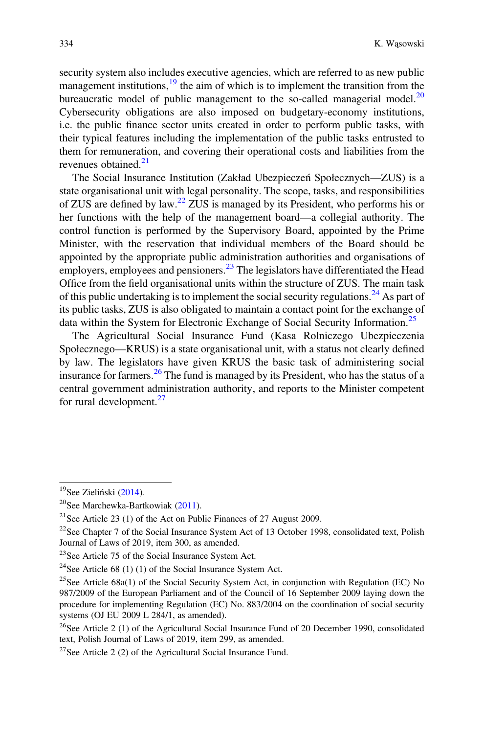security system also includes executive agencies, which are referred to as new public management institutions,<sup>19</sup> the aim of which is to implement the transition from the bureaucratic model of public management to the so-called managerial model.<sup>20</sup> Cybersecurity obligations are also imposed on budgetary-economy institutions, i.e. the public finance sector units created in order to perform public tasks, with their typical features including the implementation of the public tasks entrusted to them for remuneration, and covering their operational costs and liabilities from the revenues obtained.<sup>21</sup>

The Social Insurance Institution (Zakład Ubezpieczeń Społecznych—ZUS) is a state organisational unit with legal personality. The scope, tasks, and responsibilities of ZUS are defined by law.<sup>22</sup> ZUS is managed by its President, who performs his or her functions with the help of the management board—a collegial authority. The control function is performed by the Supervisory Board, appointed by the Prime Minister, with the reservation that individual members of the Board should be appointed by the appropriate public administration authorities and organisations of employers, employees and pensioners.<sup>23</sup> The legislators have differentiated the Head Office from the field organisational units within the structure of ZUS. The main task of this public undertaking is to implement the social security regulations.<sup>24</sup> As part of its public tasks, ZUS is also obligated to maintain a contact point for the exchange of data within the System for Electronic Exchange of Social Security Information.<sup>25</sup>

The Agricultural Social Insurance Fund (Kasa Rolniczego Ubezpieczenia Społecznego—KRUS) is a state organisational unit, with a status not clearly defined by law. The legislators have given KRUS the basic task of administering social insurance for farmers.<sup>26</sup> The fund is managed by its President, who has the status of a central government administration authority, and reports to the Minister competent for rural development.<sup>27</sup>

 $19$ See Zieliński ([2014\)](#page-13-0).

<sup>&</sup>lt;sup>20</sup>See Marchewka-Bartkowiak ([2011](#page-13-0)).

<sup>&</sup>lt;sup>21</sup>See Article 23 (1) of the Act on Public Finances of 27 August 2009.

<sup>&</sup>lt;sup>22</sup>See Chapter 7 of the Social Insurance System Act of 13 October 1998, consolidated text, Polish Journal of Laws of 2019, item 300, as amended.

<sup>&</sup>lt;sup>23</sup>See Article 75 of the Social Insurance System Act.

<sup>&</sup>lt;sup>24</sup>See Article 68 (1) (1) of the Social Insurance System Act.

<sup>&</sup>lt;sup>25</sup>See Article 68a(1) of the Social Security System Act, in conjunction with Regulation (EC) No 987/2009 of the European Parliament and of the Council of 16 September 2009 laying down the procedure for implementing Regulation (EC) No. 883/2004 on the coordination of social security systems (OJ EU 2009 L 284/1, as amended).

<sup>&</sup>lt;sup>26</sup>See Article 2 (1) of the Agricultural Social Insurance Fund of 20 December 1990, consolidated text, Polish Journal of Laws of 2019, item 299, as amended.

<sup>&</sup>lt;sup>27</sup>See Article 2 (2) of the Agricultural Social Insurance Fund.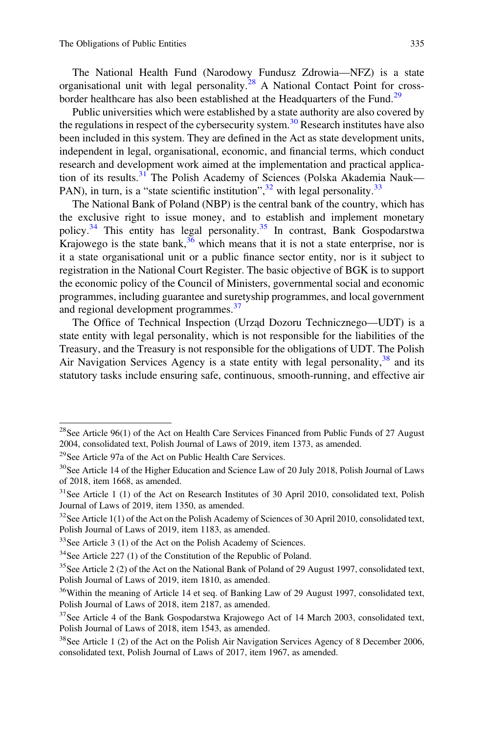The National Health Fund (Narodowy Fundusz Zdrowia—NFZ) is a state organisational unit with legal personality.<sup>28</sup> A National Contact Point for crossborder healthcare has also been established at the Headquarters of the Fund.<sup>29</sup>

Public universities which were established by a state authority are also covered by the regulations in respect of the cybersecurity system.<sup>30</sup> Research institutes have also been included in this system. They are defined in the Act as state development units, independent in legal, organisational, economic, and financial terms, which conduct research and development work aimed at the implementation and practical application of its results. $31$  The Polish Academy of Sciences (Polska Akademia Nauk— PAN), in turn, is a "state scientific institution", $32$  with legal personality.<sup>33</sup>

The National Bank of Poland (NBP) is the central bank of the country, which has the exclusive right to issue money, and to establish and implement monetary policy.<sup>34</sup> This entity has legal personality.<sup>35</sup> In contrast, Bank Gospodarstwa Krajowego is the state bank,  $36$  which means that it is not a state enterprise, nor is it a state organisational unit or a public finance sector entity, nor is it subject to registration in the National Court Register. The basic objective of BGK is to support the economic policy of the Council of Ministers, governmental social and economic programmes, including guarantee and suretyship programmes, and local government and regional development programmes.<sup>37</sup>

The Office of Technical Inspection (Urząd Dozoru Technicznego—UDT) is a state entity with legal personality, which is not responsible for the liabilities of the Treasury, and the Treasury is not responsible for the obligations of UDT. The Polish Air Navigation Services Agency is a state entity with legal personality,  $38$  and its statutory tasks include ensuring safe, continuous, smooth-running, and effective air

<sup>&</sup>lt;sup>28</sup>See Article 96(1) of the Act on Health Care Services Financed from Public Funds of 27 August 2004, consolidated text, Polish Journal of Laws of 2019, item 1373, as amended.

<sup>&</sup>lt;sup>29</sup>See Article 97a of the Act on Public Health Care Services.

<sup>&</sup>lt;sup>30</sup>See Article 14 of the Higher Education and Science Law of 20 July 2018, Polish Journal of Laws of 2018, item 1668, as amended.

<sup>&</sup>lt;sup>31</sup>See Article 1 (1) of the Act on Research Institutes of 30 April 2010, consolidated text, Polish Journal of Laws of 2019, item 1350, as amended.

 $32$ See Article 1(1) of the Act on the Polish Academy of Sciences of 30 April 2010, consolidated text, Polish Journal of Laws of 2019, item 1183, as amended.

<sup>&</sup>lt;sup>33</sup>See Article 3 (1) of the Act on the Polish Academy of Sciences.

<sup>&</sup>lt;sup>34</sup>See Article 227 (1) of the Constitution of the Republic of Poland.

<sup>&</sup>lt;sup>35</sup>See Article 2 (2) of the Act on the National Bank of Poland of 29 August 1997, consolidated text, Polish Journal of Laws of 2019, item 1810, as amended.

<sup>&</sup>lt;sup>36</sup>Within the meaning of Article 14 et seq. of Banking Law of 29 August 1997, consolidated text, Polish Journal of Laws of 2018, item 2187, as amended.

 $37$ See Article 4 of the Bank Gospodarstwa Krajowego Act of 14 March 2003, consolidated text, Polish Journal of Laws of 2018, item 1543, as amended.

<sup>&</sup>lt;sup>38</sup>See Article 1 (2) of the Act on the Polish Air Navigation Services Agency of 8 December 2006, consolidated text, Polish Journal of Laws of 2017, item 1967, as amended.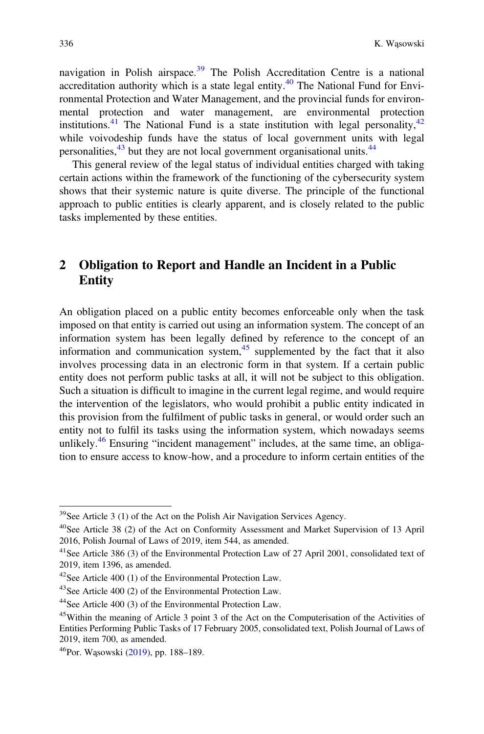navigation in Polish airspace.<sup>39</sup> The Polish Accreditation Centre is a national accreditation authority which is a state legal entity.<sup>40</sup> The National Fund for Environmental Protection and Water Management, and the provincial funds for environmental protection and water management, are environmental protection institutions.<sup>41</sup> The National Fund is a state institution with legal personality,  $42$ while voivodeship funds have the status of local government units with legal personalities, $43$  but they are not local government organisational units. $44$ 

This general review of the legal status of individual entities charged with taking certain actions within the framework of the functioning of the cybersecurity system shows that their systemic nature is quite diverse. The principle of the functional approach to public entities is clearly apparent, and is closely related to the public tasks implemented by these entities.

## 2 Obligation to Report and Handle an Incident in a Public Entity

An obligation placed on a public entity becomes enforceable only when the task imposed on that entity is carried out using an information system. The concept of an information system has been legally defined by reference to the concept of an information and communication system, $45$  supplemented by the fact that it also involves processing data in an electronic form in that system. If a certain public entity does not perform public tasks at all, it will not be subject to this obligation. Such a situation is difficult to imagine in the current legal regime, and would require the intervention of the legislators, who would prohibit a public entity indicated in this provision from the fulfilment of public tasks in general, or would order such an entity not to fulfil its tasks using the information system, which nowadays seems unlikely. $46$  Ensuring "incident management" includes, at the same time, an obligation to ensure access to know-how, and a procedure to inform certain entities of the

 $39$ See Article 3 (1) of the Act on the Polish Air Navigation Services Agency.

<sup>40</sup>See Article 38 (2) of the Act on Conformity Assessment and Market Supervision of 13 April 2016, Polish Journal of Laws of 2019, item 544, as amended.

<sup>41</sup>See Article 386 (3) of the Environmental Protection Law of 27 April 2001, consolidated text of 2019, item 1396, as amended.

 $42$ See Article 400 (1) of the Environmental Protection Law.

<sup>&</sup>lt;sup>43</sup>See Article 400 (2) of the Environmental Protection Law.

<sup>44</sup>See Article 400 (3) of the Environmental Protection Law.

<sup>&</sup>lt;sup>45</sup>Within the meaning of Article 3 point 3 of the Act on the Computerisation of the Activities of Entities Performing Public Tasks of 17 February 2005, consolidated text, Polish Journal of Laws of 2019, item 700, as amended.

<sup>46</sup>Por. Wąsowski ([2019\)](#page-13-0), pp. 188–189.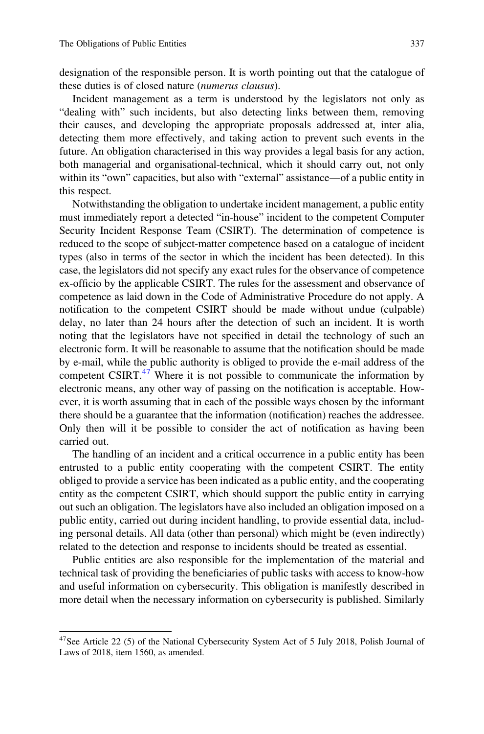designation of the responsible person. It is worth pointing out that the catalogue of these duties is of closed nature (numerus clausus).

Incident management as a term is understood by the legislators not only as "dealing with" such incidents, but also detecting links between them, removing their causes, and developing the appropriate proposals addressed at, inter alia, detecting them more effectively, and taking action to prevent such events in the future. An obligation characterised in this way provides a legal basis for any action, both managerial and organisational-technical, which it should carry out, not only within its "own" capacities, but also with "external" assistance—of a public entity in this respect.

Notwithstanding the obligation to undertake incident management, a public entity must immediately report a detected "in-house" incident to the competent Computer Security Incident Response Team (CSIRT). The determination of competence is reduced to the scope of subject-matter competence based on a catalogue of incident types (also in terms of the sector in which the incident has been detected). In this case, the legislators did not specify any exact rules for the observance of competence ex-officio by the applicable CSIRT. The rules for the assessment and observance of competence as laid down in the Code of Administrative Procedure do not apply. A notification to the competent CSIRT should be made without undue (culpable) delay, no later than 24 hours after the detection of such an incident. It is worth noting that the legislators have not specified in detail the technology of such an electronic form. It will be reasonable to assume that the notification should be made by e-mail, while the public authority is obliged to provide the e-mail address of the competent CSIRT. $47$  Where it is not possible to communicate the information by electronic means, any other way of passing on the notification is acceptable. However, it is worth assuming that in each of the possible ways chosen by the informant there should be a guarantee that the information (notification) reaches the addressee. Only then will it be possible to consider the act of notification as having been carried out.

The handling of an incident and a critical occurrence in a public entity has been entrusted to a public entity cooperating with the competent CSIRT. The entity obliged to provide a service has been indicated as a public entity, and the cooperating entity as the competent CSIRT, which should support the public entity in carrying out such an obligation. The legislators have also included an obligation imposed on a public entity, carried out during incident handling, to provide essential data, including personal details. All data (other than personal) which might be (even indirectly) related to the detection and response to incidents should be treated as essential.

Public entities are also responsible for the implementation of the material and technical task of providing the beneficiaries of public tasks with access to know-how and useful information on cybersecurity. This obligation is manifestly described in more detail when the necessary information on cybersecurity is published. Similarly

<sup>&</sup>lt;sup>47</sup>See Article 22 (5) of the National Cybersecurity System Act of 5 July 2018, Polish Journal of Laws of 2018, item 1560, as amended.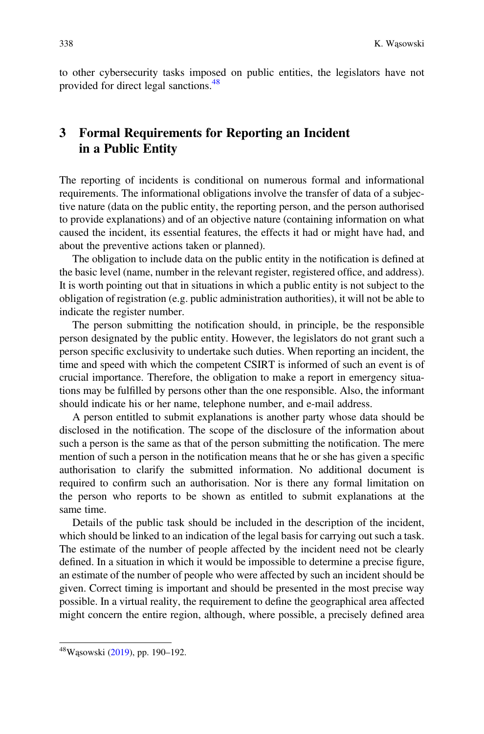to other cybersecurity tasks imposed on public entities, the legislators have not provided for direct legal sanctions.<sup>48</sup>

## 3 Formal Requirements for Reporting an Incident in a Public Entity

The reporting of incidents is conditional on numerous formal and informational requirements. The informational obligations involve the transfer of data of a subjective nature (data on the public entity, the reporting person, and the person authorised to provide explanations) and of an objective nature (containing information on what caused the incident, its essential features, the effects it had or might have had, and about the preventive actions taken or planned).

The obligation to include data on the public entity in the notification is defined at the basic level (name, number in the relevant register, registered office, and address). It is worth pointing out that in situations in which a public entity is not subject to the obligation of registration (e.g. public administration authorities), it will not be able to indicate the register number.

The person submitting the notification should, in principle, be the responsible person designated by the public entity. However, the legislators do not grant such a person specific exclusivity to undertake such duties. When reporting an incident, the time and speed with which the competent CSIRT is informed of such an event is of crucial importance. Therefore, the obligation to make a report in emergency situations may be fulfilled by persons other than the one responsible. Also, the informant should indicate his or her name, telephone number, and e-mail address.

A person entitled to submit explanations is another party whose data should be disclosed in the notification. The scope of the disclosure of the information about such a person is the same as that of the person submitting the notification. The mere mention of such a person in the notification means that he or she has given a specific authorisation to clarify the submitted information. No additional document is required to confirm such an authorisation. Nor is there any formal limitation on the person who reports to be shown as entitled to submit explanations at the same time.

Details of the public task should be included in the description of the incident, which should be linked to an indication of the legal basis for carrying out such a task. The estimate of the number of people affected by the incident need not be clearly defined. In a situation in which it would be impossible to determine a precise figure, an estimate of the number of people who were affected by such an incident should be given. Correct timing is important and should be presented in the most precise way possible. In a virtual reality, the requirement to define the geographical area affected might concern the entire region, although, where possible, a precisely defined area

<sup>48</sup>Wąsowski ([2019\)](#page-13-0), pp. 190–192.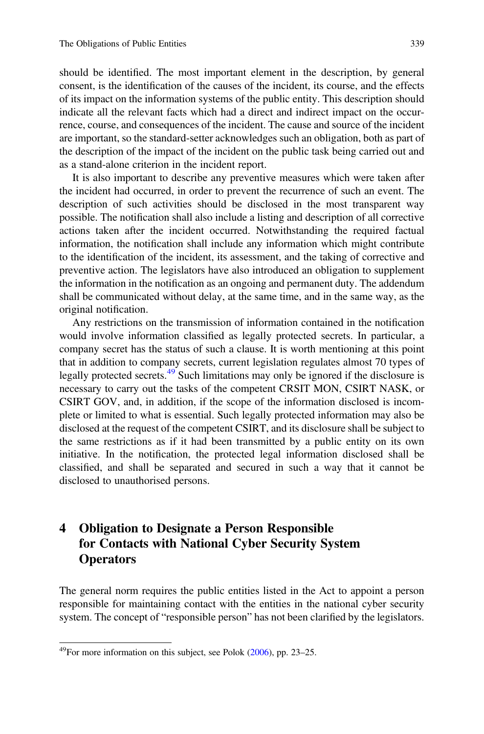should be identified. The most important element in the description, by general consent, is the identification of the causes of the incident, its course, and the effects of its impact on the information systems of the public entity. This description should indicate all the relevant facts which had a direct and indirect impact on the occurrence, course, and consequences of the incident. The cause and source of the incident are important, so the standard-setter acknowledges such an obligation, both as part of the description of the impact of the incident on the public task being carried out and as a stand-alone criterion in the incident report.

It is also important to describe any preventive measures which were taken after the incident had occurred, in order to prevent the recurrence of such an event. The description of such activities should be disclosed in the most transparent way possible. The notification shall also include a listing and description of all corrective actions taken after the incident occurred. Notwithstanding the required factual information, the notification shall include any information which might contribute to the identification of the incident, its assessment, and the taking of corrective and preventive action. The legislators have also introduced an obligation to supplement the information in the notification as an ongoing and permanent duty. The addendum shall be communicated without delay, at the same time, and in the same way, as the original notification.

Any restrictions on the transmission of information contained in the notification would involve information classified as legally protected secrets. In particular, a company secret has the status of such a clause. It is worth mentioning at this point that in addition to company secrets, current legislation regulates almost 70 types of legally protected secrets.<sup>49</sup> Such limitations may only be ignored if the disclosure is necessary to carry out the tasks of the competent CRSIT MON, CSIRT NASK, or CSIRT GOV, and, in addition, if the scope of the information disclosed is incomplete or limited to what is essential. Such legally protected information may also be disclosed at the request of the competent CSIRT, and its disclosure shall be subject to the same restrictions as if it had been transmitted by a public entity on its own initiative. In the notification, the protected legal information disclosed shall be classified, and shall be separated and secured in such a way that it cannot be disclosed to unauthorised persons.

# 4 Obligation to Designate a Person Responsible for Contacts with National Cyber Security System **Operators**

The general norm requires the public entities listed in the Act to appoint a person responsible for maintaining contact with the entities in the national cyber security system. The concept of "responsible person" has not been clarified by the legislators.

<sup>49</sup>For more information on this subject, see Polok [\(2006](#page-13-0)), pp. 23–25.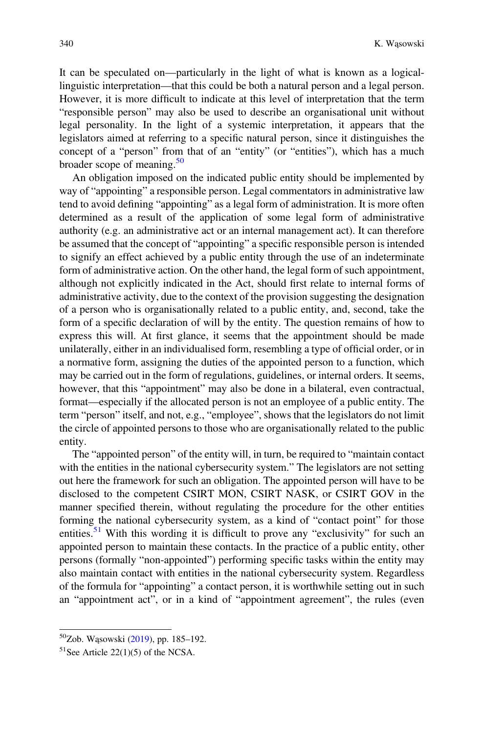It can be speculated on—particularly in the light of what is known as a logicallinguistic interpretation—that this could be both a natural person and a legal person. However, it is more difficult to indicate at this level of interpretation that the term "responsible person" may also be used to describe an organisational unit without legal personality. In the light of a systemic interpretation, it appears that the legislators aimed at referring to a specific natural person, since it distinguishes the concept of a "person" from that of an "entity" (or "entities"), which has a much broader scope of meaning. $50$ 

An obligation imposed on the indicated public entity should be implemented by way of "appointing" a responsible person. Legal commentators in administrative law tend to avoid defining "appointing" as a legal form of administration. It is more often determined as a result of the application of some legal form of administrative authority (e.g. an administrative act or an internal management act). It can therefore be assumed that the concept of "appointing" a specific responsible person is intended to signify an effect achieved by a public entity through the use of an indeterminate form of administrative action. On the other hand, the legal form of such appointment, although not explicitly indicated in the Act, should first relate to internal forms of administrative activity, due to the context of the provision suggesting the designation of a person who is organisationally related to a public entity, and, second, take the form of a specific declaration of will by the entity. The question remains of how to express this will. At first glance, it seems that the appointment should be made unilaterally, either in an individualised form, resembling a type of official order, or in a normative form, assigning the duties of the appointed person to a function, which may be carried out in the form of regulations, guidelines, or internal orders. It seems, however, that this "appointment" may also be done in a bilateral, even contractual, format—especially if the allocated person is not an employee of a public entity. The term "person" itself, and not, e.g., "employee", shows that the legislators do not limit the circle of appointed persons to those who are organisationally related to the public entity.

The "appointed person" of the entity will, in turn, be required to "maintain contact with the entities in the national cybersecurity system." The legislators are not setting out here the framework for such an obligation. The appointed person will have to be disclosed to the competent CSIRT MON, CSIRT NASK, or CSIRT GOV in the manner specified therein, without regulating the procedure for the other entities forming the national cybersecurity system, as a kind of "contact point" for those entities.<sup>51</sup> With this wording it is difficult to prove any "exclusivity" for such an appointed person to maintain these contacts. In the practice of a public entity, other persons (formally "non-appointed") performing specific tasks within the entity may also maintain contact with entities in the national cybersecurity system. Regardless of the formula for "appointing" a contact person, it is worthwhile setting out in such an "appointment act", or in a kind of "appointment agreement", the rules (even

<sup>50</sup>Zob. Wąsowski ([2019\)](#page-13-0), pp. 185–192.

 $51$ See Article 22(1)(5) of the NCSA.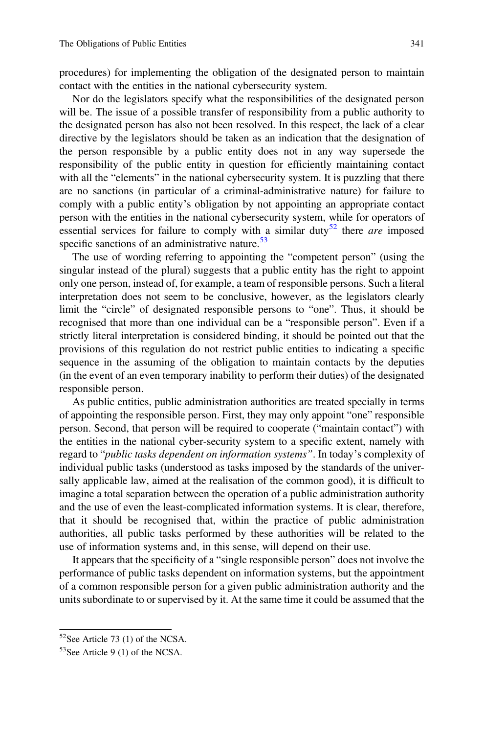procedures) for implementing the obligation of the designated person to maintain contact with the entities in the national cybersecurity system.

Nor do the legislators specify what the responsibilities of the designated person will be. The issue of a possible transfer of responsibility from a public authority to the designated person has also not been resolved. In this respect, the lack of a clear directive by the legislators should be taken as an indication that the designation of the person responsible by a public entity does not in any way supersede the responsibility of the public entity in question for efficiently maintaining contact with all the "elements" in the national cybersecurity system. It is puzzling that there are no sanctions (in particular of a criminal-administrative nature) for failure to comply with a public entity's obligation by not appointing an appropriate contact person with the entities in the national cybersecurity system, while for operators of essential services for failure to comply with a similar duty<sup>52</sup> there *are* imposed specific sanctions of an administrative nature. $53$ 

The use of wording referring to appointing the "competent person" (using the singular instead of the plural) suggests that a public entity has the right to appoint only one person, instead of, for example, a team of responsible persons. Such a literal interpretation does not seem to be conclusive, however, as the legislators clearly limit the "circle" of designated responsible persons to "one". Thus, it should be recognised that more than one individual can be a "responsible person". Even if a strictly literal interpretation is considered binding, it should be pointed out that the provisions of this regulation do not restrict public entities to indicating a specific sequence in the assuming of the obligation to maintain contacts by the deputies (in the event of an even temporary inability to perform their duties) of the designated responsible person.

As public entities, public administration authorities are treated specially in terms of appointing the responsible person. First, they may only appoint "one" responsible person. Second, that person will be required to cooperate ("maintain contact") with the entities in the national cyber-security system to a specific extent, namely with regard to "public tasks dependent on information systems". In today's complexity of individual public tasks (understood as tasks imposed by the standards of the universally applicable law, aimed at the realisation of the common good), it is difficult to imagine a total separation between the operation of a public administration authority and the use of even the least-complicated information systems. It is clear, therefore, that it should be recognised that, within the practice of public administration authorities, all public tasks performed by these authorities will be related to the use of information systems and, in this sense, will depend on their use.

It appears that the specificity of a "single responsible person" does not involve the performance of public tasks dependent on information systems, but the appointment of a common responsible person for a given public administration authority and the units subordinate to or supervised by it. At the same time it could be assumed that the

 $52$ See Article 73 (1) of the NCSA.

 $53$ See Article 9 (1) of the NCSA.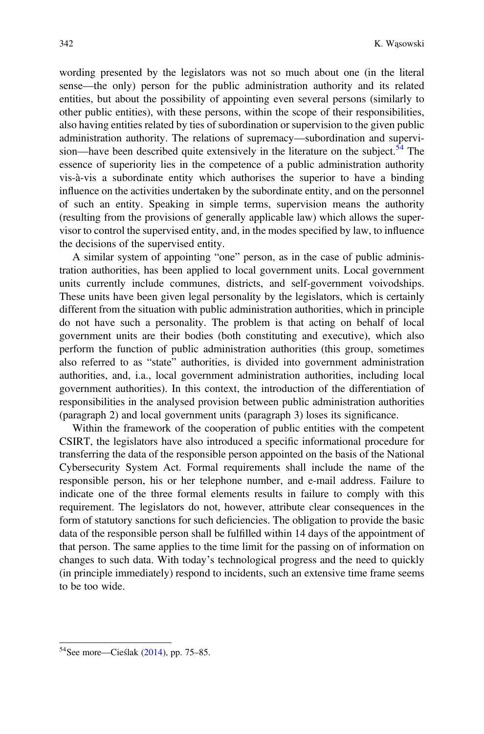wording presented by the legislators was not so much about one (in the literal sense—the only) person for the public administration authority and its related entities, but about the possibility of appointing even several persons (similarly to other public entities), with these persons, within the scope of their responsibilities, also having entities related by ties of subordination or supervision to the given public administration authority. The relations of supremacy—subordination and supervision—have been described quite extensively in the literature on the subject.<sup>54</sup> The essence of superiority lies in the competence of a public administration authority vis-à-vis a subordinate entity which authorises the superior to have a binding influence on the activities undertaken by the subordinate entity, and on the personnel of such an entity. Speaking in simple terms, supervision means the authority (resulting from the provisions of generally applicable law) which allows the supervisor to control the supervised entity, and, in the modes specified by law, to influence the decisions of the supervised entity.

A similar system of appointing "one" person, as in the case of public administration authorities, has been applied to local government units. Local government units currently include communes, districts, and self-government voivodships. These units have been given legal personality by the legislators, which is certainly different from the situation with public administration authorities, which in principle do not have such a personality. The problem is that acting on behalf of local government units are their bodies (both constituting and executive), which also perform the function of public administration authorities (this group, sometimes also referred to as "state" authorities, is divided into government administration authorities, and, i.a., local government administration authorities, including local government authorities). In this context, the introduction of the differentiation of responsibilities in the analysed provision between public administration authorities (paragraph 2) and local government units (paragraph 3) loses its significance.

Within the framework of the cooperation of public entities with the competent CSIRT, the legislators have also introduced a specific informational procedure for transferring the data of the responsible person appointed on the basis of the National Cybersecurity System Act. Formal requirements shall include the name of the responsible person, his or her telephone number, and e-mail address. Failure to indicate one of the three formal elements results in failure to comply with this requirement. The legislators do not, however, attribute clear consequences in the form of statutory sanctions for such deficiencies. The obligation to provide the basic data of the responsible person shall be fulfilled within 14 days of the appointment of that person. The same applies to the time limit for the passing on of information on changes to such data. With today's technological progress and the need to quickly (in principle immediately) respond to incidents, such an extensive time frame seems to be too wide.

<sup>54</sup>See more—Cieślak ([2014\)](#page-13-0), pp. 75–85.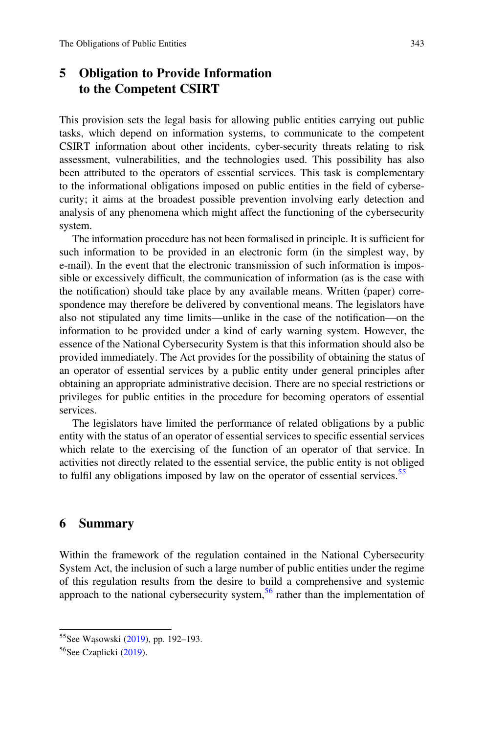# 5 Obligation to Provide Information to the Competent CSIRT

This provision sets the legal basis for allowing public entities carrying out public tasks, which depend on information systems, to communicate to the competent CSIRT information about other incidents, cyber-security threats relating to risk assessment, vulnerabilities, and the technologies used. This possibility has also been attributed to the operators of essential services. This task is complementary to the informational obligations imposed on public entities in the field of cybersecurity; it aims at the broadest possible prevention involving early detection and analysis of any phenomena which might affect the functioning of the cybersecurity system.

The information procedure has not been formalised in principle. It is sufficient for such information to be provided in an electronic form (in the simplest way, by e-mail). In the event that the electronic transmission of such information is impossible or excessively difficult, the communication of information (as is the case with the notification) should take place by any available means. Written (paper) correspondence may therefore be delivered by conventional means. The legislators have also not stipulated any time limits—unlike in the case of the notification—on the information to be provided under a kind of early warning system. However, the essence of the National Cybersecurity System is that this information should also be provided immediately. The Act provides for the possibility of obtaining the status of an operator of essential services by a public entity under general principles after obtaining an appropriate administrative decision. There are no special restrictions or privileges for public entities in the procedure for becoming operators of essential services.

The legislators have limited the performance of related obligations by a public entity with the status of an operator of essential services to specific essential services which relate to the exercising of the function of an operator of that service. In activities not directly related to the essential service, the public entity is not obliged to fulfil any obligations imposed by law on the operator of essential services.<sup>55</sup>

### 6 Summary

Within the framework of the regulation contained in the National Cybersecurity System Act, the inclusion of such a large number of public entities under the regime of this regulation results from the desire to build a comprehensive and systemic approach to the national cybersecurity system, $56$  rather than the implementation of

<sup>55</sup>See Wąsowski [\(2019\)](#page-13-0), pp. 192–193.

<sup>&</sup>lt;sup>56</sup>See Czaplicki [\(2019](#page-13-0)).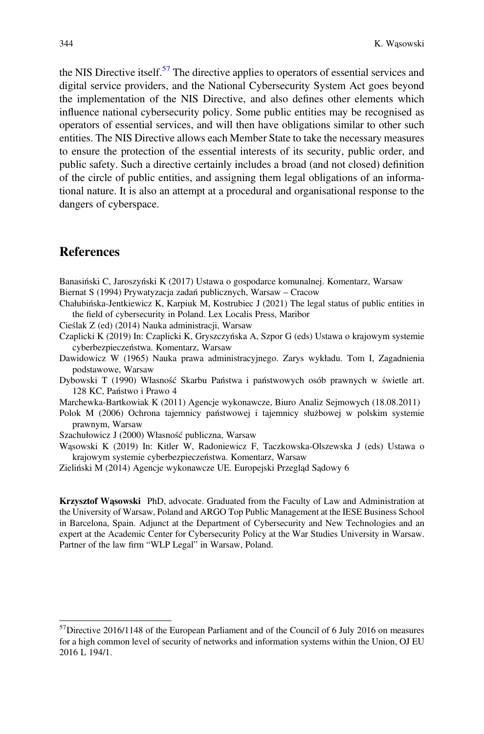<span id="page-13-0"></span>the NIS Directive itself.<sup>57</sup> The directive applies to operators of essential services and digital service providers, and the National Cybersecurity System Act goes beyond the implementation of the NIS Directive, and also defines other elements which influence national cybersecurity policy. Some public entities may be recognised as operators of essential services, and will then have obligations similar to other such entities. The NIS Directive allows each Member State to take the necessary measures to ensure the protection of the essential interests of its security, public order, and public safety. Such a directive certainly includes a broad (and not closed) definition of the circle of public entities, and assigning them legal obligations of an informational nature. It is also an attempt at a procedural and organisational response to the dangers of cyberspace.

#### **References**

Banasiński C, Jaroszyński K (2017) Ustawa o gospodarce komunalnej. Komentarz, Warsaw Biernat S (1994) Prywatyzacja zadań publicznych, Warsaw – Cracow

Chałubińska-Jentkiewicz K, Karpiuk M, Kostrubiec J (2021) The legal status of public entities in the field of cybersecurity in Poland. Lex Localis Press, Maribor

Cieślak Z (ed) (2014) Nauka administracji, Warsaw

Czaplicki K (2019) In: Czaplicki K, Gryszczyńska A, Szpor G (eds) Ustawa o krajowym systemie cyberbezpieczeństwa. Komentarz, Warsaw

Dawidowicz W (1965) Nauka prawa administracyjnego. Zarys wykładu. Tom I, Zagadnienia podstawowe, Warsaw

Dybowski T (1990) Własność Skarbu Państwa i państwowych osób prawnych w świetle art. 128 KC, Państwo i Prawo 4

Marchewka-Bartkowiak K (2011) Agencje wykonawcze, Biuro Analiz Sejmowych (18.08.2011)

Polok M (2006) Ochrona tajemnicy państwowej i tajemnicy służbowej w polskim systemie prawnym, Warsaw

Szachułowicz J (2000) Własność publiczna, Warsaw

Wąsowski K (2019) In: Kitler W, Radoniewicz F, Taczkowska-Olszewska J (eds) Ustawa o krajowym systemie cyberbezpieczeństwa. Komentarz, Warsaw

Zieliński M (2014) Agencje wykonawcze UE. Europejski Przegląd Sądowy 6

Krzysztof Wąsowski PhD, advocate. Graduated from the Faculty of Law and Administration at the University of Warsaw, Poland and ARGO Top Public Management at the IESE Business School in Barcelona, Spain. Adjunct at the Department of Cybersecurity and New Technologies and an expert at the Academic Center for Cybersecurity Policy at the War Studies University in Warsaw. Partner of the law firm "WLP Legal" in Warsaw, Poland.

 $57$ Directive 2016/1148 of the European Parliament and of the Council of 6 July 2016 on measures for a high common level of security of networks and information systems within the Union, OJ EU 2016 L 194/1.